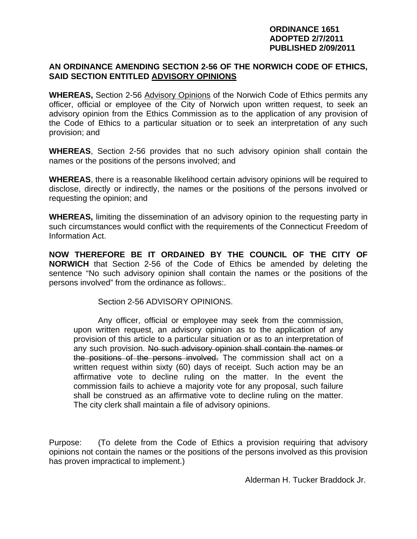#### **ORDINANCE 1651 ADOPTED 2/7/2011 PUBLISHED 2/09/2011**

# **AN ORDINANCE AMENDING SECTION 2-56 OF THE NORWICH CODE OF ETHICS, SAID SECTION ENTITLED ADVISORY OPINIONS**

**WHEREAS,** Section 2-56 Advisory Opinions of the Norwich Code of Ethics permits any officer, official or employee of the City of Norwich upon written request, to seek an advisory opinion from the Ethics Commission as to the application of any provision of the Code of Ethics to a particular situation or to seek an interpretation of any such provision; and

**WHEREAS**, Section 2-56 provides that no such advisory opinion shall contain the names or the positions of the persons involved; and

**WHEREAS**, there is a reasonable likelihood certain advisory opinions will be required to disclose, directly or indirectly, the names or the positions of the persons involved or requesting the opinion; and

**WHEREAS,** limiting the dissemination of an advisory opinion to the requesting party in such circumstances would conflict with the requirements of the Connecticut Freedom of Information Act.

**NOW THEREFORE BE IT ORDAINED BY THE COUNCIL OF THE CITY OF NORWICH** that Section 2-56 of the Code of Ethics be amended by deleting the sentence "No such advisory opinion shall contain the names or the positions of the persons involved" from the ordinance as follows:.

Section 2-56 ADVISORY OPINIONS.

 Any officer, official or employee may seek from the commission, upon written request, an advisory opinion as to the application of any provision of this article to a particular situation or as to an interpretation of any such provision. No such advisory opinion shall contain the names or the positions of the persons involved. The commission shall act on a written request within sixty (60) days of receipt. Such action may be an affirmative vote to decline ruling on the matter. In the event the commission fails to achieve a majority vote for any proposal, such failure shall be construed as an affirmative vote to decline ruling on the matter. The city clerk shall maintain a file of advisory opinions.

Purpose: (To delete from the Code of Ethics a provision requiring that advisory opinions not contain the names or the positions of the persons involved as this provision has proven impractical to implement.)

Alderman H. Tucker Braddock Jr.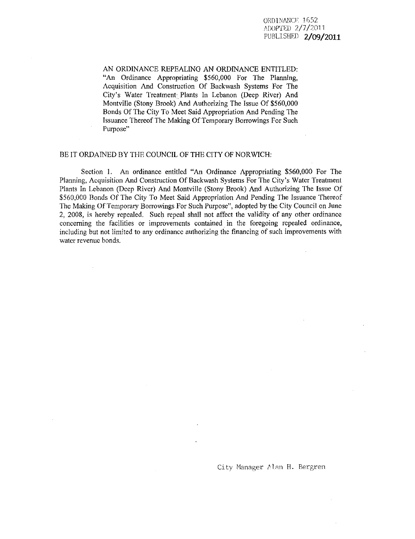AN ORDINANCE REPEALING AN ORDINANCE ENTITLED: "An Ordinance Appropriating \$560,000 For The Planning, Acquisition And Construction Of Backwash Systems For The City's Water Treatment Plants In Lebanon (Deep River) And Montville (Stony Brook) And Authorizing The Issue Of \$560,000 Bonds Of The City To Meet Said Appropriation And Pending The Issuance Thereof The Making Of Temporary Borrowings For Such Purpose"

#### BE IT ORDAINED BY THE COUNCIL OF THE CITY OF NORWICH:

Section 1. An ordinance entitled "An Ordinance Appropriating \$560,000 For The Planning, Acquisition And Construction Of Backwash Systems For The City's Water Treatment Plants In Lebanon (Deep River) And Montville (Stony Brook) And Authorizing The Issue Of \$560,000 Bonds Of The City To Meet Said Appropriation And Pending The Issuance Thereof The Making Of Temporary Borrowings For Such Purpose", adopted by the City Council on June 2, 2008, is hereby repealed. Such repeal shall not affect the validity of any other ordinance concerning the facilities or improvements contained in the foregoing repealed ordinance, including but not limited to any ordinance authorizing the financing of such improvements with water revenue bonds.

City Manager Alan H. Bergren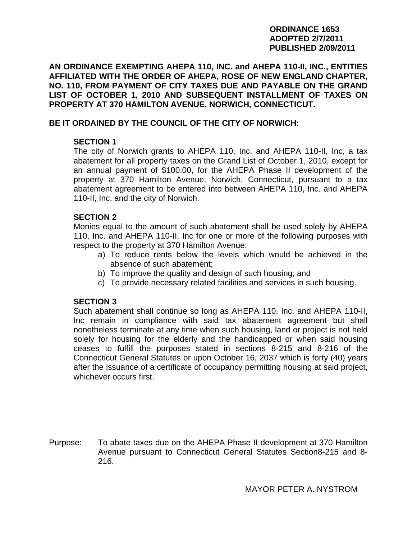#### **ORDINANCE 1653 ADOPTED 2/7/2011 PUBLISHED 2/09/2011**

**AN ORDINANCE EXEMPTING AHEPA 110, INC. and AHEPA 110-II, INC., ENTITIES AFFILIATED WITH THE ORDER OF AHEPA, ROSE OF NEW ENGLAND CHAPTER, NO. 110, FROM PAYMENT OF CITY TAXES DUE AND PAYABLE ON THE GRAND LIST OF OCTOBER 1, 2010 AND SUBSEQUENT INSTALLMENT OF TAXES ON PROPERTY AT 370 HAMILTON AVENUE, NORWICH, CONNECTICUT.** 

## **BE IT ORDAINED BY THE COUNCIL OF THE CITY OF NORWICH:**

# **SECTION 1**

The city of Norwich grants to AHEPA 110, Inc. and AHEPA 110-II, Inc, a tax abatement for all property taxes on the Grand List of October 1, 2010, except for an annual payment of \$100.00, for the AHEPA Phase II development of the property at 370 Hamilton Avenue, Norwich, Connecticut, pursuant to a tax abatement agreement to be entered into between AHEPA 110, Inc. and AHEPA 110-II, Inc. and the city of Norwich.

### **SECTION 2**

Monies equal to the amount of such abatement shall be used solely by AHEPA 110, Inc. and AHEPA 110-II, Inc for one or more of the following purposes with respect to the property at 370 Hamilton Avenue:

- a) To reduce rents below the levels which would be achieved in the absence of such abatement;
- b) To improve the quality and design of such housing; and
- c) To provide necessary related facilities and services in such housing.

# **SECTION 3**

Such abatement shall continue so long as AHEPA 110, Inc. and AHEPA 110-II, Inc remain in compliance with said tax abatement agreement but shall nonetheless terminate at any time when such housing, land or project is not held solely for housing for the elderly and the handicapped or when said housing ceases to fulfill the purposes stated in sections 8-215 and 8-216 of the Connecticut General Statutes or upon October 16, 2037 which is forty (40) years after the issuance of a certificate of occupancy permitting housing at said project, whichever occurs first.

Purpose: To abate taxes due on the AHEPA Phase II development at 370 Hamilton Avenue pursuant to Connecticut General Statutes Section8-215 and 8- 216.